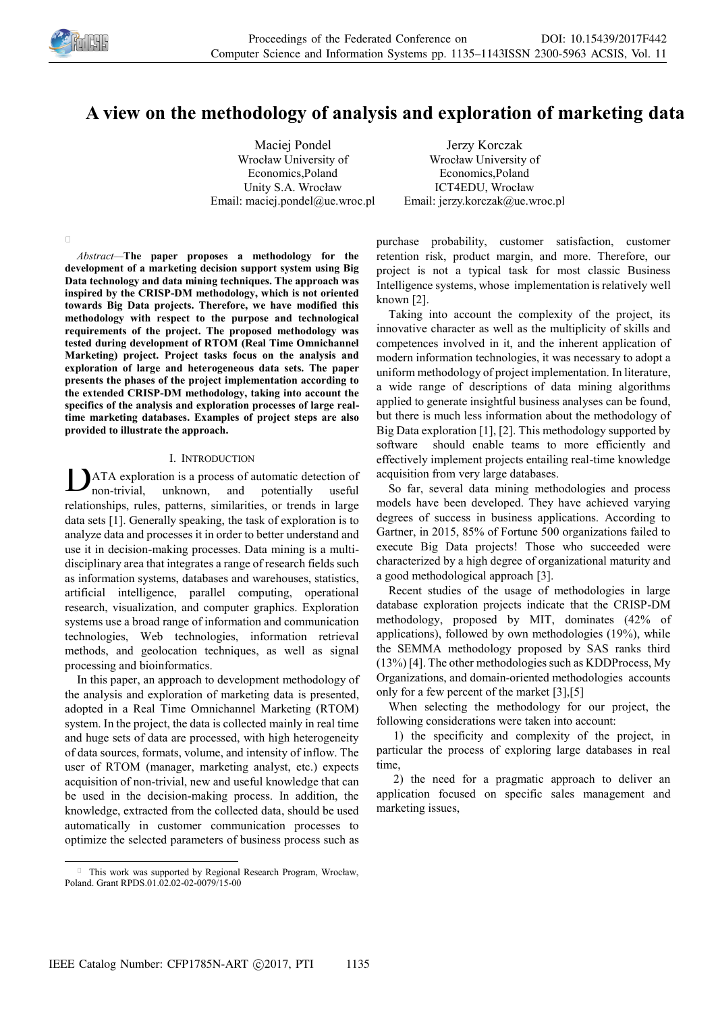

# **A view on the methodology of analysis and exploration of marketing data**

Maciej Pondel Wrocław University of Economics,Poland Unity S.A. Wrocław Email: maciej.pondel@ue.wroc.pl

Jerzy Korczak Wrocław University of Economics,Poland ICT4EDU, Wrocław Email: jerzy.korczak@ue.wroc.pl

 $\Box$ 

-

*Abstract—***The paper proposes a methodology for the development of a marketing decision support system using Big Data technology and data mining techniques. The approach was inspired by the CRISP-DM methodology, which is not oriented towards Big Data projects. Therefore, we have modified this methodology with respect to the purpose and technological requirements of the project. The proposed methodology was tested during development of RTOM (Real Time Omnichannel Marketing) project. Project tasks focus on the analysis and exploration of large and heterogeneous data sets. The paper presents the phases of the project implementation according to the extended CRISP-DM methodology, taking into account the specifics of the analysis and exploration processes of large realtime marketing databases. Examples of project steps are also provided to illustrate the approach.** 

## I. INTRODUCTION

**ATA** exploration is a process of automatic detection of non-trivial, unknown, and potentially useful non-trivial, unknown, and potentially useful relationships, rules, patterns, similarities, or trends in large data sets [1]. Generally speaking, the task of exploration is to analyze data and processes it in order to better understand and use it in decision-making processes. Data mining is a multidisciplinary area that integrates a range of research fields such as information systems, databases and warehouses, statistics, artificial intelligence, parallel computing, operational research, visualization, and computer graphics. Exploration systems use a broad range of information and communication technologies, Web technologies, information retrieval methods, and geolocation techniques, as well as signal processing and bioinformatics.

In this paper, an approach to development methodology of the analysis and exploration of marketing data is presented, adopted in a Real Time Omnichannel Marketing (RTOM) system. In the project, the data is collected mainly in real time and huge sets of data are processed, with high heterogeneity of data sources, formats, volume, and intensity of inflow. The user of RTOM (manager, marketing analyst, etc.) expects acquisition of non-trivial, new and useful knowledge that can be used in the decision-making process. In addition, the knowledge, extracted from the collected data, should be used automatically in customer communication processes to optimize the selected parameters of business process such as

This work was supported by Regional Research Program, Wrocław, Poland. Grant RPDS.01.02.02-02-0079/15-00

purchase probability, customer satisfaction, customer retention risk, product margin, and more. Therefore, our project is not a typical task for most classic Business Intelligence systems, whose implementation is relatively well known [2].

Taking into account the complexity of the project, its innovative character as well as the multiplicity of skills and competences involved in it, and the inherent application of modern information technologies, it was necessary to adopt a uniform methodology of project implementation. In literature, a wide range of descriptions of data mining algorithms applied to generate insightful business analyses can be found, but there is much less information about the methodology of Big Data exploration [1], [2]. This methodology supported by software should enable teams to more efficiently and effectively implement projects entailing real-time knowledge acquisition from very large databases.

So far, several data mining methodologies and process models have been developed. They have achieved varying degrees of success in business applications. According to Gartner, in 2015, 85% of Fortune 500 organizations failed to execute Big Data projects! Those who succeeded were characterized by a high degree of organizational maturity and a good methodological approach [3].

Recent studies of the usage of methodologies in large database exploration projects indicate that the CRISP-DM methodology, proposed by MIT, dominates (42% of applications), followed by own methodologies (19%), while the SEMMA methodology proposed by SAS ranks third (13%) [4]. The other methodologies such as KDDProcess, My Organizations, and domain-oriented methodologies accounts only for a few percent of the market [3],[5]

When selecting the methodology for our project, the following considerations were taken into account:

 1) the specificity and complexity of the project, in particular the process of exploring large databases in real time,

 2) the need for a pragmatic approach to deliver an application focused on specific sales management and marketing issues,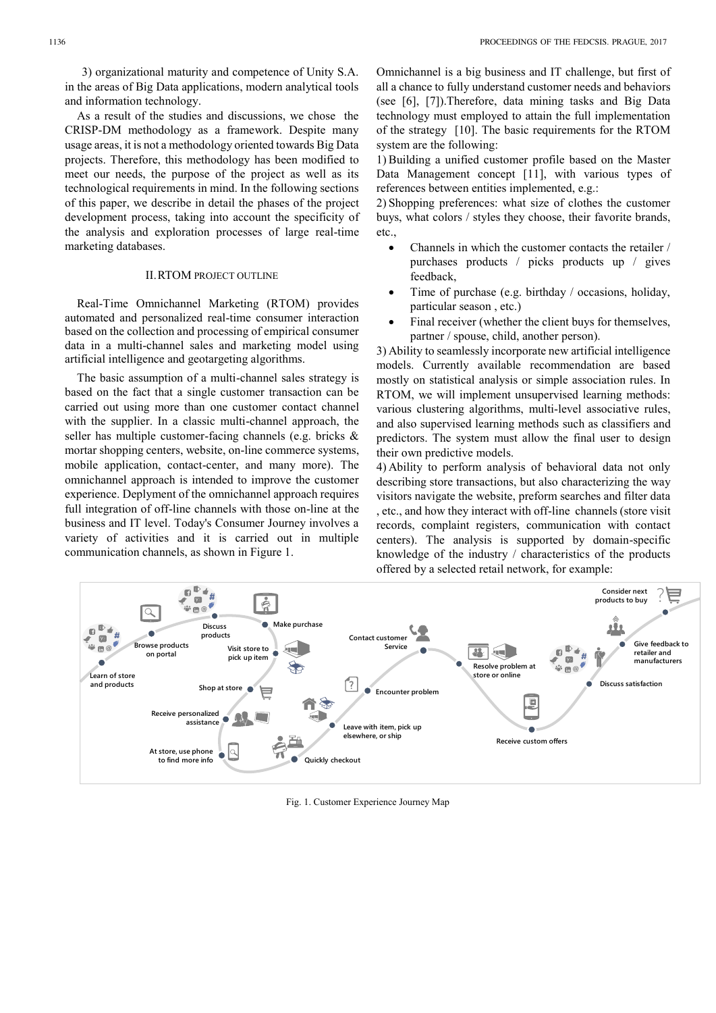3) organizational maturity and competence of Unity S.A. in the areas of Big Data applications, modern analytical tools and information technology.

As a result of the studies and discussions, we chose the CRISP-DM methodology as a framework. Despite many usage areas, it is not a methodology oriented towards Big Data projects. Therefore, this methodology has been modified to meet our needs, the purpose of the project as well as its technological requirements in mind. In the following sections of this paper, we describe in detail the phases of the project development process, taking into account the specificity of the analysis and exploration processes of large real-time marketing databases.

#### II.RTOM PROJECT OUTLINE

Real-Time Omnichannel Marketing (RTOM) provides automated and personalized real-time consumer interaction based on the collection and processing of empirical consumer data in a multi-channel sales and marketing model using artificial intelligence and geotargeting algorithms.

The basic assumption of a multi-channel sales strategy is based on the fact that a single customer transaction can be carried out using more than one customer contact channel with the supplier. In a classic multi-channel approach, the seller has multiple customer-facing channels (e.g. bricks & mortar shopping centers, website, on-line commerce systems, mobile application, contact-center, and many more). The omnichannel approach is intended to improve the customer experience. Deplyment of the omnichannel approach requires full integration of off-line channels with those on-line at the business and IT level. Today's Consumer Journey involves a variety of activities and it is carried out in multiple communication channels, as shown in Figure 1.

Omnichannel is a big business and IT challenge, but first of all a chance to fully understand customer needs and behaviors (see [6], [7]).Therefore, data mining tasks and Big Data technology must employed to attain the full implementation of the strategy [10]. The basic requirements for the RTOM system are the following:

1) Building a unified customer profile based on the Master Data Management concept [11], with various types of references between entities implemented, e.g.:

2) Shopping preferences: what size of clothes the customer buys, what colors / styles they choose, their favorite brands, etc.,

- Channels in which the customer contacts the retailer / purchases products / picks products up / gives feedback,
- Time of purchase (e.g. birthday / occasions, holiday, particular season , etc.)
- Final receiver (whether the client buys for themselves, partner / spouse, child, another person).

3) Ability to seamlessly incorporate new artificial intelligence models. Currently available recommendation are based mostly on statistical analysis or simple association rules. In RTOM, we will implement unsupervised learning methods: various clustering algorithms, multi-level associative rules, and also supervised learning methods such as classifiers and predictors. The system must allow the final user to design their own predictive models.

4) Ability to perform analysis of behavioral data not only describing store transactions, but also characterizing the way visitors navigate the website, preform searches and filter data , etc., and how they interact with off-line channels (store visit records, complaint registers, communication with contact centers). The analysis is supported by domain-specific knowledge of the industry / characteristics of the products offered by a selected retail network, for example:



Fig. 1. Customer Experience Journey Map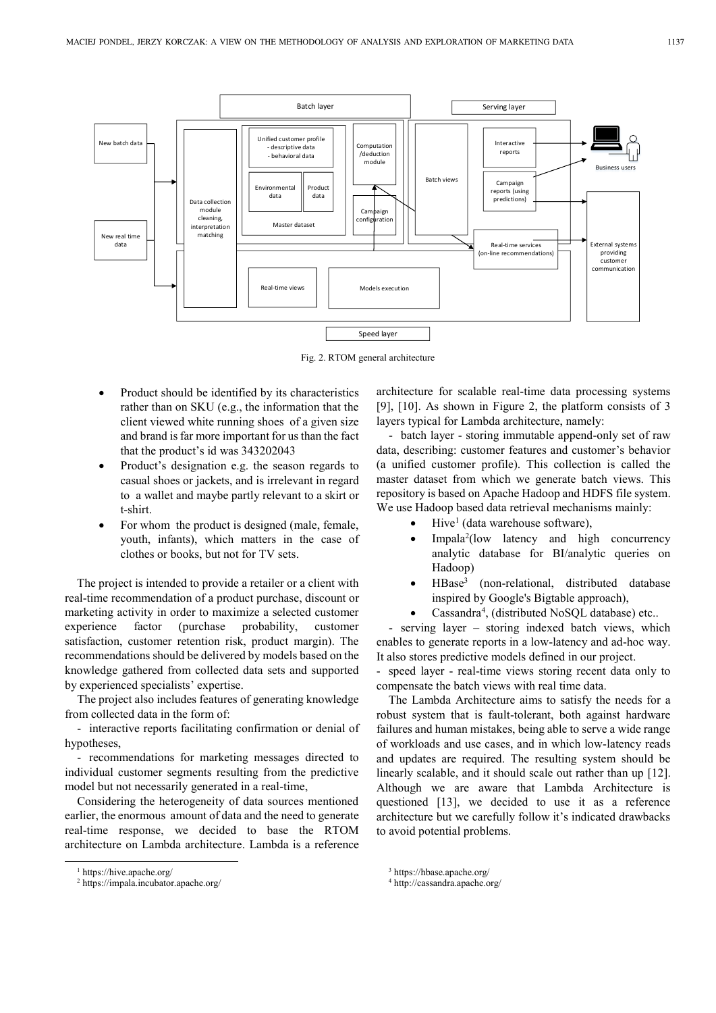

Fig. 2. RTOM general architecture

- Product should be identified by its characteristics rather than on SKU (e.g., the information that the client viewed white running shoes of a given size and brand is far more important for us than the fact that the product's id was 343202043
- Product's designation e.g. the season regards to casual shoes or jackets, and is irrelevant in regard to a wallet and maybe partly relevant to a skirt or t-shirt.
- For whom the product is designed (male, female, youth, infants), which matters in the case of clothes or books, but not for TV sets.

The project is intended to provide a retailer or a client with real-time recommendation of a product purchase, discount or marketing activity in order to maximize a selected customer experience factor (purchase probability, customer satisfaction, customer retention risk, product margin). The recommendations should be delivered by models based on the knowledge gathered from collected data sets and supported by experienced specialists' expertise.

The project also includes features of generating knowledge from collected data in the form of:

- interactive reports facilitating confirmation or denial of hypotheses,

- recommendations for marketing messages directed to individual customer segments resulting from the predictive model but not necessarily generated in a real-time,

Considering the heterogeneity of data sources mentioned earlier, the enormous amount of data and the need to generate real-time response, we decided to base the RTOM architecture on Lambda architecture. Lambda is a reference

-

architecture for scalable real-time data processing systems [9], [10]. As shown in Figure 2, the platform consists of 3 layers typical for Lambda architecture, namely:

- batch layer - storing immutable append-only set of raw data, describing: customer features and customer's behavior (a unified customer profile). This collection is called the master dataset from which we generate batch views. This repository is based on Apache Hadoop and HDFS file system. We use Hadoop based data retrieval mechanisms mainly:

- $\bullet$  Hive<sup>1</sup> (data warehouse software),
- Impala<sup>2</sup>(low latency and high concurrency analytic database for BI/analytic queries on Hadoop)
- HBase 3 (non-relational, distributed database inspired by Google's Bigtable approach),
- Cassandra<sup>4</sup>, (distributed NoSQL database) etc..

- serving layer – storing indexed batch views, which enables to generate reports in a low-latency and ad-hoc way. It also stores predictive models defined in our project.

- speed layer - real-time views storing recent data only to compensate the batch views with real time data.

The Lambda Architecture aims to satisfy the needs for a robust system that is fault-tolerant, both against hardware failures and human mistakes, being able to serve a wide range of workloads and use cases, and in which low-latency reads and updates are required. The resulting system should be linearly scalable, and it should scale out rather than up [12]. Although we are aware that Lambda Architecture is questioned [13], we decided to use it as a reference architecture but we carefully follow it's indicated drawbacks to avoid potential problems.

<sup>1</sup> https://hive.apache.org/

<sup>2</sup> https://impala.incubator.apache.org/

<sup>3</sup> https://hbase.apache.org/

<sup>4</sup> http://cassandra.apache.org/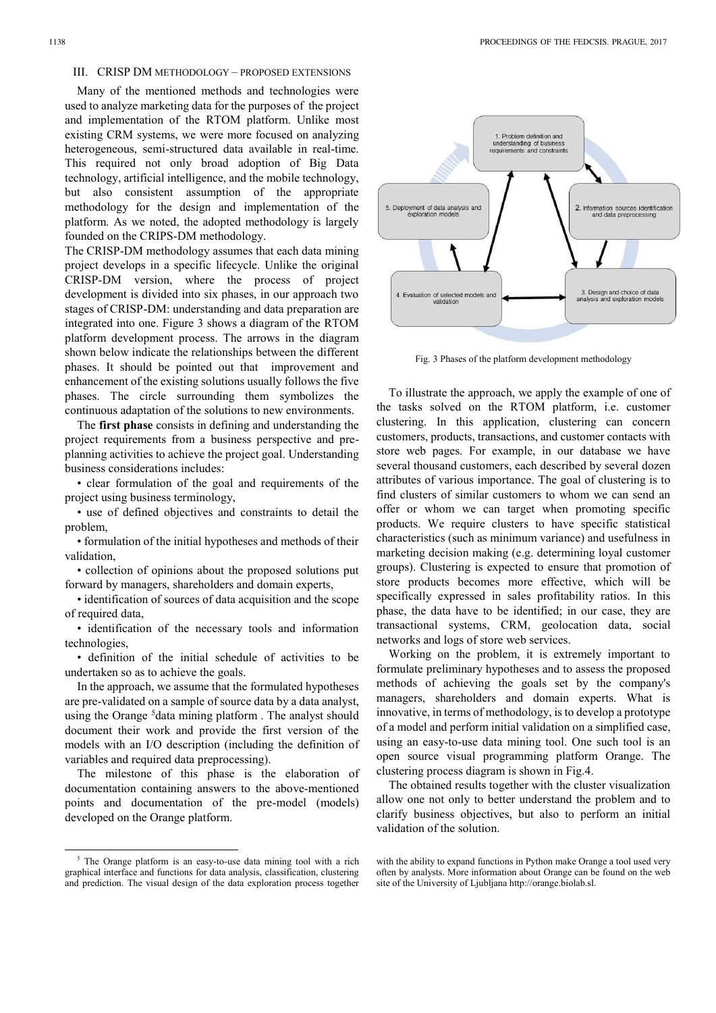Many of the mentioned methods and technologies were used to analyze marketing data for the purposes of the project and implementation of the RTOM platform. Unlike most existing CRM systems, we were more focused on analyzing heterogeneous, semi-structured data available in real-time. This required not only broad adoption of Big Data technology, artificial intelligence, and the mobile technology, but also consistent assumption of the appropriate methodology for the design and implementation of the platform. As we noted, the adopted methodology is largely founded on the CRIPS-DM methodology.

The CRISP-DM methodology assumes that each data mining project develops in a specific lifecycle. Unlike the original CRISP-DM version, where the process of project development is divided into six phases, in our approach two stages of CRISP-DM: understanding and data preparation are integrated into one. Figure 3 shows a diagram of the RTOM platform development process. The arrows in the diagram shown below indicate the relationships between the different phases. It should be pointed out that improvement and enhancement of the existing solutions usually follows the five phases. The circle surrounding them symbolizes the continuous adaptation of the solutions to new environments.

The **first phase** consists in defining and understanding the project requirements from a business perspective and preplanning activities to achieve the project goal. Understanding business considerations includes:

• clear formulation of the goal and requirements of the project using business terminology,

• use of defined objectives and constraints to detail the problem,

• formulation of the initial hypotheses and methods of their validation,

• collection of opinions about the proposed solutions put forward by managers, shareholders and domain experts,

• identification of sources of data acquisition and the scope of required data,

• identification of the necessary tools and information technologies,

• definition of the initial schedule of activities to be undertaken so as to achieve the goals.

In the approach, we assume that the formulated hypotheses are pre-validated on a sample of source data by a data analyst, using the Orange <sup>5</sup>data mining platform. The analyst should document their work and provide the first version of the models with an I/O description (including the definition of variables and required data preprocessing).

The milestone of this phase is the elaboration of documentation containing answers to the above-mentioned points and documentation of the pre-model (models) developed on the Orange platform.

1



Fig. 3 Phases of the platform development methodology

To illustrate the approach, we apply the example of one of the tasks solved on the RTOM platform, i.e. customer clustering. In this application, clustering can concern customers, products, transactions, and customer contacts with store web pages. For example, in our database we have several thousand customers, each described by several dozen attributes of various importance. The goal of clustering is to find clusters of similar customers to whom we can send an offer or whom we can target when promoting specific products. We require clusters to have specific statistical characteristics (such as minimum variance) and usefulness in marketing decision making (e.g. determining loyal customer groups). Clustering is expected to ensure that promotion of store products becomes more effective, which will be specifically expressed in sales profitability ratios. In this phase, the data have to be identified; in our case, they are transactional systems, CRM, geolocation data, social networks and logs of store web services.

Working on the problem, it is extremely important to formulate preliminary hypotheses and to assess the proposed methods of achieving the goals set by the company's managers, shareholders and domain experts. What is innovative, in terms of methodology, is to develop a prototype of a model and perform initial validation on a simplified case, using an easy-to-use data mining tool. One such tool is an open source visual programming platform Orange. The clustering process diagram is shown in Fig.4.

The obtained results together with the cluster visualization allow one not only to better understand the problem and to clarify business objectives, but also to perform an initial validation of the solution.

<sup>&</sup>lt;sup>5</sup> The Orange platform is an easy-to-use data mining tool with a rich graphical interface and functions for data analysis, classification, clustering and prediction. The visual design of the data exploration process together

with the ability to expand functions in Python make Orange a tool used very often by analysts. More information about Orange can be found on the web site of the University of Ljubljana http://orange.biolab.sl.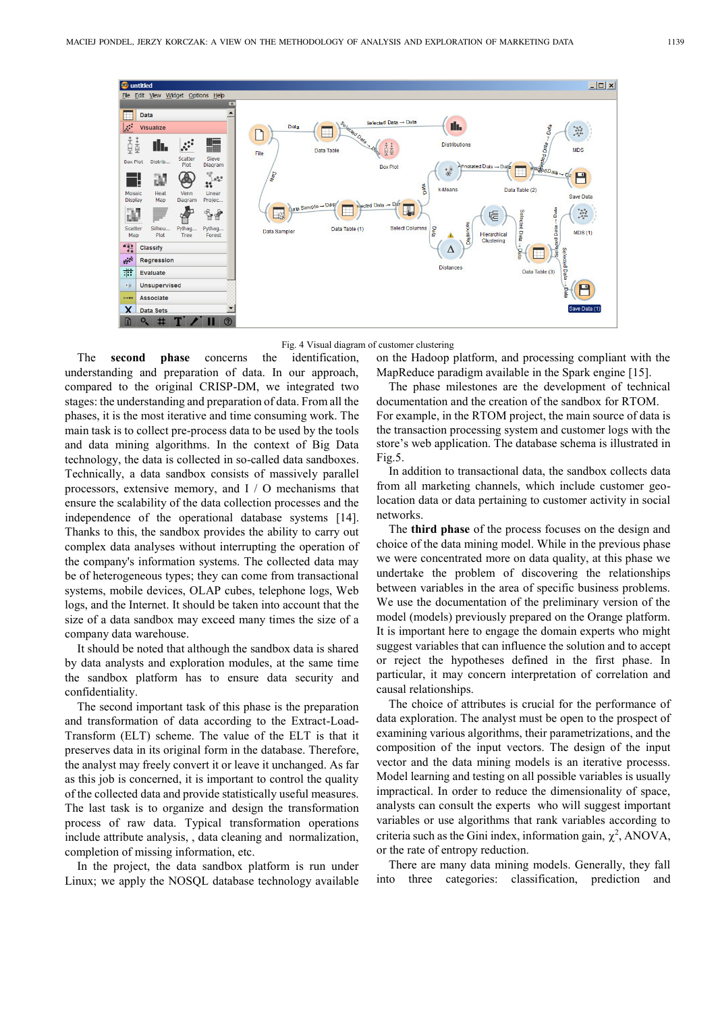

Fig. 4 Visual diagram of customer clustering

The **second phase** concerns the identification, understanding and preparation of data. In our approach, compared to the original CRISP-DM, we integrated two stages: the understanding and preparation of data. From all the phases, it is the most iterative and time consuming work. The main task is to collect pre-process data to be used by the tools and data mining algorithms. In the context of Big Data technology, the data is collected in so-called data sandboxes. Technically, a data sandbox consists of massively parallel processors, extensive memory, and I / O mechanisms that ensure the scalability of the data collection processes and the independence of the operational database systems [14]. Thanks to this, the sandbox provides the ability to carry out complex data analyses without interrupting the operation of the company's information systems. The collected data may be of heterogeneous types; they can come from transactional systems, mobile devices, OLAP cubes, telephone logs, Web logs, and the Internet. It should be taken into account that the size of a data sandbox may exceed many times the size of a company data warehouse.

It should be noted that although the sandbox data is shared by data analysts and exploration modules, at the same time the sandbox platform has to ensure data security and confidentiality.

The second important task of this phase is the preparation and transformation of data according to the Extract-Load-Transform (ELT) scheme. The value of the ELT is that it preserves data in its original form in the database. Therefore, the analyst may freely convert it or leave it unchanged. As far as this job is concerned, it is important to control the quality of the collected data and provide statistically useful measures. The last task is to organize and design the transformation process of raw data. Typical transformation operations include attribute analysis, , data cleaning and normalization, completion of missing information, etc.

In the project, the data sandbox platform is run under Linux; we apply the NOSQL database technology available

on the Hadoop platform, and processing compliant with the MapReduce paradigm available in the Spark engine [15].

The phase milestones are the development of technical documentation and the creation of the sandbox for RTOM. For example, in the RTOM project, the main source of data is the transaction processing system and customer logs with the store's web application. The database schema is illustrated in Fig.5.

In addition to transactional data, the sandbox collects data from all marketing channels, which include customer geolocation data or data pertaining to customer activity in social networks.

The **third phase** of the process focuses on the design and choice of the data mining model. While in the previous phase we were concentrated more on data quality, at this phase we undertake the problem of discovering the relationships between variables in the area of specific business problems. We use the documentation of the preliminary version of the model (models) previously prepared on the Orange platform. It is important here to engage the domain experts who might suggest variables that can influence the solution and to accept or reject the hypotheses defined in the first phase. In particular, it may concern interpretation of correlation and causal relationships.

The choice of attributes is crucial for the performance of data exploration. The analyst must be open to the prospect of examining various algorithms, their parametrizations, and the composition of the input vectors. The design of the input vector and the data mining models is an iterative processs. Model learning and testing on all possible variables is usually impractical. In order to reduce the dimensionality of space, analysts can consult the experts who will suggest important variables or use algorithms that rank variables according to criteria such as the Gini index, information gain,  $\chi^2$ , ANOVA, or the rate of entropy reduction.

There are many data mining models. Generally, they fall into three categories: classification, prediction and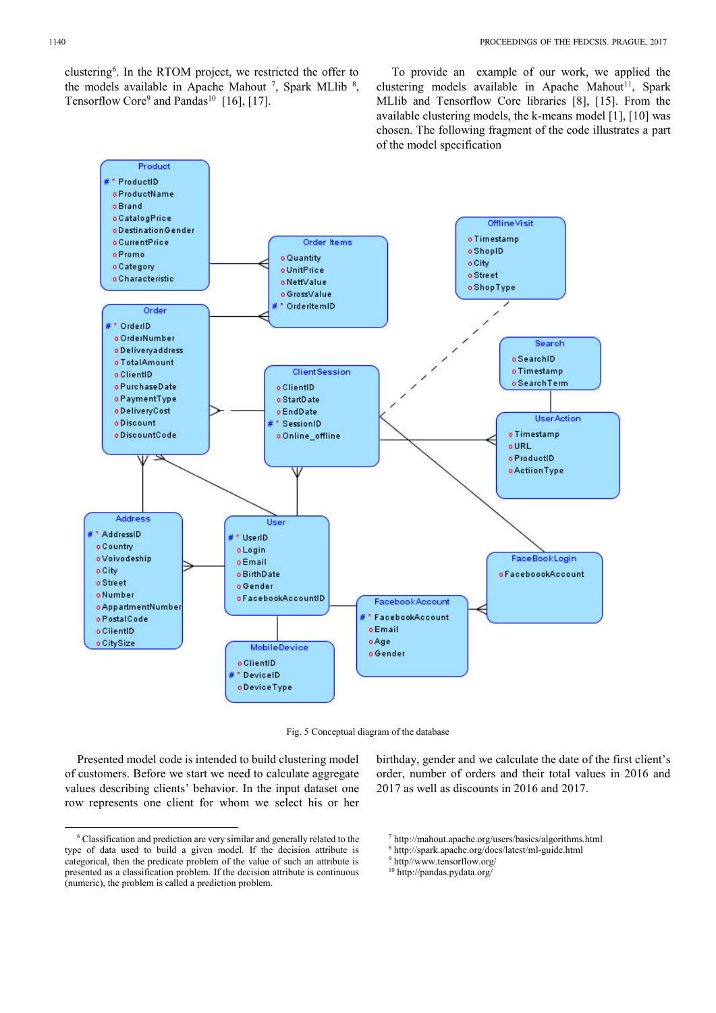clustering<sup>6</sup> . In the RTOM project, we restricted the offer to the models available in Apache Mahout  $^7$ , Spark MLlib  $^8$ , Tensorflow Core<sup>9</sup> and Pandas<sup>10</sup> [16], [17].

 To provide an example of our work, we applied the clustering models available in Apache Mahout<sup>11</sup>, Spark MLlib and Tensorflow Core libraries [8], [15]. From the available clustering models, the k-means model [1], [10] was chosen. The following fragment of the code illustrates a part of the model specification



Fig. 5 Conceptual diagram of the database

Presented model code is intended to build clustering model of customers. Before we start we need to calculate aggregate values describing clients' behavior. In the input dataset one row represents one client for whom we select his or her birthday, gender and we calculate the date of the first client's order, number of orders and their total values in 2016 and 2017 as well as discounts in 2016 and 2017.

<sup>-</sup>6 Classification and prediction are very similar and generally related to the type of data used to build a given model. If the decision attribute is categorical, then the predicate problem of the value of such an attribute is presented as a classification problem. If the decision attribute is continuous (numeric), the problem is called a prediction problem.

<sup>7</sup> http://mahout.apache.org/users/basics/algorithms.html

<sup>8</sup> http://spark.apache.org/docs/latest/ml-guide.html

<sup>9</sup> http//www.tensorflow.org/

<sup>10</sup> http://pandas.pydata.org/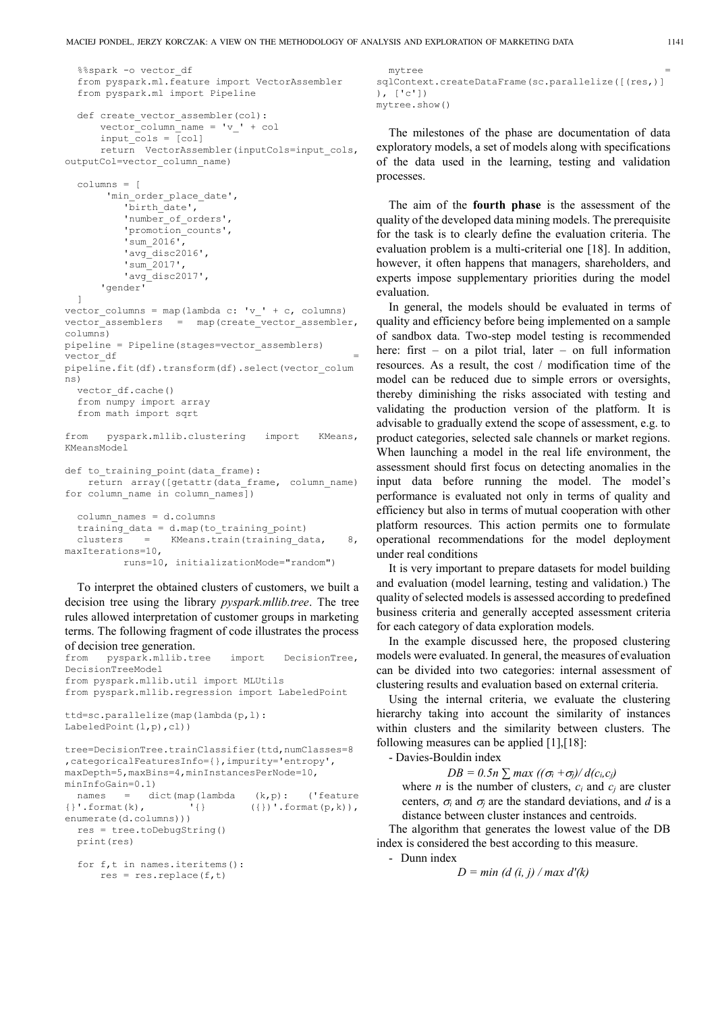```
%%spark -o vector df
  from pyspark.ml.feature import VectorAssembler
  from pyspark.ml import Pipeline
  def create_vector_assembler(col):
      vector column name = 'v' + colinput \overline{\text{cols}} = \overline{[\text{col}]} return VectorAssembler(inputCols=input_cols, 
outputCol=vector_column_name)
  columns = [
       'min order place date',
            'birth_date',
          'number_of_orders',
            'promotion_counts',
            'sum_2016',
            'avg_disc2016',
            'sum_2017',
           'avg disc2017',
       'gender'
  ] 
vector columns = map(lambda c: 'v ' + c, columns)
vector_ensure{l} = map(create_vector_assembler,
columns)
pipeline = Pipeline(stages=vector_assemblers)
vector df
pipeline.fit(df).transform(df).select(vector_colum
ns)
  vector df.cache()
  from numpy import array
  from math import sqrt
from pyspark.mllib.clustering import KMeans, 
KMeansModel
def to_training_point(data_frame):
    return array([getattr(data_frame, column_name) 
for column_name in column_names])
  column_names = d.columns
  training data = d.map(to training point)
```
clusters = KMeans.train(training data, 8, maxIterations=10, runs=10, initializationMode="random")

To interpret the obtained clusters of customers, we built a decision tree using the library *pyspark.mllib.tree*. The tree rules allowed interpretation of customer groups in marketing terms. The following fragment of code illustrates the process of decision tree generation.

```
from pyspark.mllib.tree import DecisionTree, 
DecisionTreeModel
from pyspark.mllib.util import MLUtils
from pyspark.mllib.regression import LabeledPoint
ttd=sc.parallelize(map(lambda(p,l): 
LabeledPoint(l,p),cl))
tree=DecisionTree.trainClassifier(ttd,numClasses=8
,categoricalFeaturesInfo={},impurity='entropy', 
maxDepth=5,maxBins=4,minInstancesPerNode=10, 
minInfoGain=0.1)
names = dict(map(lambda (k, p): ('feature {}'.format(k), '{} ({})'.format(p,k)),
                                  ({})'.format(p,k)),enumerate(d.columns)))
  res = tree.toDebugString()
  print(res)
  for f,t in names.iteritems():
       res = res.replace(f,t)
```

```
mytree = 
sqlContext.createDataFrame(sc.parallelize([(res,)]
), ['c'])
mytree.show()
```
The milestones of the phase are documentation of data exploratory models, a set of models along with specifications of the data used in the learning, testing and validation processes.

The aim of the **fourth phase** is the assessment of the quality of the developed data mining models. The prerequisite for the task is to clearly define the evaluation criteria. The evaluation problem is a multi-criterial one [18]. In addition, however, it often happens that managers, shareholders, and experts impose supplementary priorities during the model evaluation.

In general, the models should be evaluated in terms of quality and efficiency before being implemented on a sample of sandbox data. Two-step model testing is recommended here: first – on a pilot trial, later – on full information resources. As a result, the cost / modification time of the model can be reduced due to simple errors or oversights, thereby diminishing the risks associated with testing and validating the production version of the platform. It is advisable to gradually extend the scope of assessment, e.g. to product categories, selected sale channels or market regions. When launching a model in the real life environment, the assessment should first focus on detecting anomalies in the input data before running the model. The model's performance is evaluated not only in terms of quality and efficiency but also in terms of mutual cooperation with other platform resources. This action permits one to formulate operational recommendations for the model deployment under real conditions

It is very important to prepare datasets for model building and evaluation (model learning, testing and validation.) The quality of selected models is assessed according to predefined business criteria and generally accepted assessment criteria for each category of data exploration models.

In the example discussed here, the proposed clustering models were evaluated. In general, the measures of evaluation can be divided into two categories: internal assessment of clustering results and evaluation based on external criteria.

Using the internal criteria, we evaluate the clustering hierarchy taking into account the similarity of instances within clusters and the similarity between clusters. The following measures can be applied [1],[18]:

- Davies-Bouldin index

 $DB = 0.5n$   $\sum$  *max*  $((\sigma_i + \sigma_j)/d(c_i, c_j))$ where *n* is the number of clusters,  $c_i$  and  $c_j$  are cluster centers,  $\sigma_i$  and  $\sigma_j$  are the standard deviations, and *d* is a distance between cluster instances and centroids.

The algorithm that generates the lowest value of the DB index is considered the best according to this measure.

- Dunn index

*D = min (d (i, j) / max d'(k)*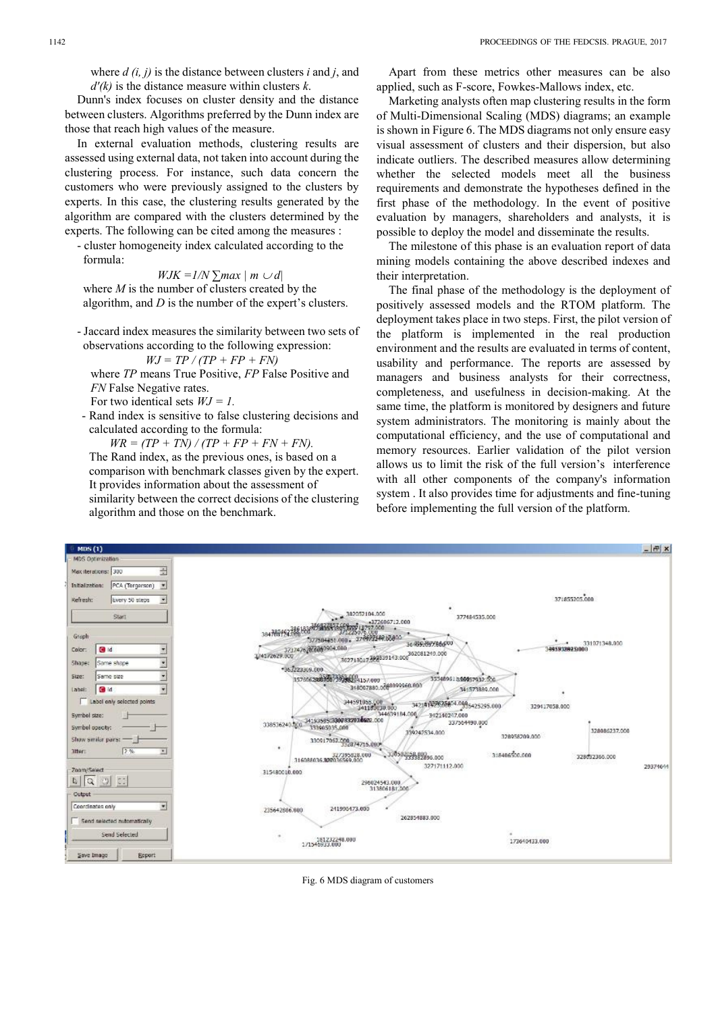where *d (i, j)* is the distance between clusters *i* and *j*, and *d'(k)* is the distance measure within clusters *k*.

Dunn's index focuses on cluster density and the distance between clusters. Algorithms preferred by the Dunn index are those that reach high values of the measure.

In external evaluation methods, clustering results are assessed using external data, not taken into account during the clustering process. For instance, such data concern the customers who were previously assigned to the clusters by experts. In this case, the clustering results generated by the algorithm are compared with the clusters determined by the experts. The following can be cited among the measures :

- cluster homogeneity index calculated according to the formula:

$$
WJK = 1/N \sum max \mid m \cup d \mid
$$

 where *M* is the number of clusters created by the algorithm, and *D* is the number of the expert's clusters.

- Jaccard index measures the similarity between two sets of observations according to the following expression:

$$
WJ = TP / (TP + FP + FN)
$$

where *TP* means True Positive, *FP* False Positive and *FN* False Negative rates.

For two identical sets *WJ = 1.*

- Rand index is sensitive to false clustering decisions and calculated according to the formula:

 $WR = (TP + TN)/(TP + FP + FN + FN)$ . The Rand index, as the previous ones, is based on a comparison with benchmark classes given by the expert. It provides information about the assessment of similarity between the correct decisions of the clustering algorithm and those on the benchmark.

Apart from these metrics other measures can be also applied, such as F-score, Fowkes-Mallows index, etc.

Marketing analysts often map clustering results in the form of Multi-Dimensional Scaling (MDS) diagrams; an example is shown in Figure 6. The MDS diagrams not only ensure easy visual assessment of clusters and their dispersion, but also indicate outliers. The described measures allow determining whether the selected models meet all the business requirements and demonstrate the hypotheses defined in the first phase of the methodology. In the event of positive evaluation by managers, shareholders and analysts, it is possible to deploy the model and disseminate the results.

The milestone of this phase is an evaluation report of data mining models containing the above described indexes and their interpretation.

The final phase of the methodology is the deployment of positively assessed models and the RTOM platform. The deployment takes place in two steps. First, the pilot version of the platform is implemented in the real production environment and the results are evaluated in terms of content, usability and performance. The reports are assessed by managers and business analysts for their correctness, completeness, and usefulness in decision-making. At the same time, the platform is monitored by designers and future system administrators. The monitoring is mainly about the computational efficiency, and the use of computational and memory resources. Earlier validation of the pilot version allows us to limit the risk of the full version's interference with all other components of the company's information system . It also provides time for adjustments and fine-tuning before implementing the full version of the platform.



Fig. 6 MDS diagram of customers